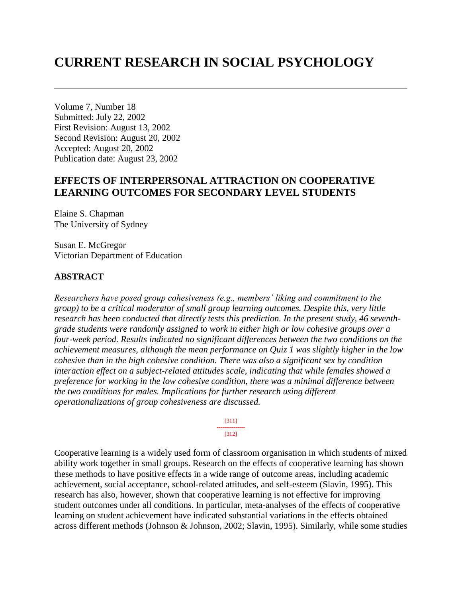# **CURRENT RESEARCH IN SOCIAL PSYCHOLOGY**

Volume 7, Number 18 Submitted: July 22, 2002 First Revision: August 13, 2002 Second Revision: August 20, 2002 Accepted: August 20, 2002 Publication date: August 23, 2002

# **EFFECTS OF INTERPERSONAL ATTRACTION ON COOPERATIVE LEARNING OUTCOMES FOR SECONDARY LEVEL STUDENTS**

Elaine S. Chapman The University of Sydney

Susan E. McGregor Victorian Department of Education

#### **ABSTRACT**

*Researchers have posed group cohesiveness (e.g., members' liking and commitment to the group) to be a critical moderator of small group learning outcomes. Despite this, very little research has been conducted that directly tests this prediction. In the present study, 46 seventhgrade students were randomly assigned to work in either high or low cohesive groups over a four-week period. Results indicated no significant differences between the two conditions on the achievement measures, although the mean performance on Quiz 1 was slightly higher in the low cohesive than in the high cohesive condition. There was also a significant sex by condition interaction effect on a subject-related attitudes scale, indicating that while females showed a preference for working in the low cohesive condition, there was a minimal difference between the two conditions for males. Implications for further research using different operationalizations of group cohesiveness are discussed.*

> [311] --------------- [312]

Cooperative learning is a widely used form of classroom organisation in which students of mixed ability work together in small groups. Research on the effects of cooperative learning has shown these methods to have positive effects in a wide range of outcome areas, including academic achievement, social acceptance, school-related attitudes, and self-esteem (Slavin, 1995). This research has also, however, shown that cooperative learning is not effective for improving student outcomes under all conditions. In particular, meta-analyses of the effects of cooperative learning on student achievement have indicated substantial variations in the effects obtained across different methods (Johnson & Johnson, 2002; Slavin, 1995). Similarly, while some studies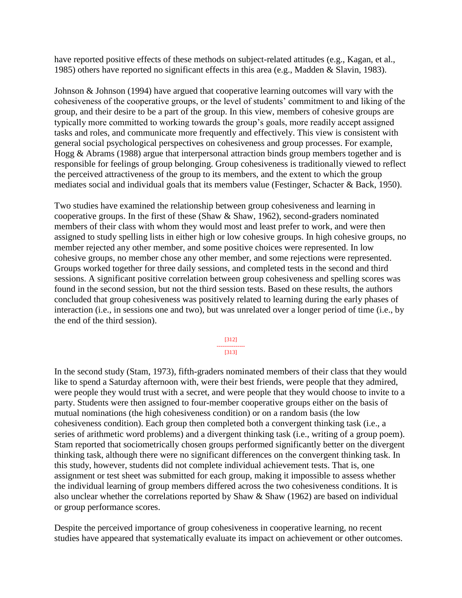have reported positive effects of these methods on subject-related attitudes (e.g., Kagan, et al., 1985) others have reported no significant effects in this area (e.g., Madden & Slavin, 1983).

Johnson & Johnson (1994) have argued that cooperative learning outcomes will vary with the cohesiveness of the cooperative groups, or the level of students' commitment to and liking of the group, and their desire to be a part of the group. In this view, members of cohesive groups are typically more committed to working towards the group's goals, more readily accept assigned tasks and roles, and communicate more frequently and effectively. This view is consistent with general social psychological perspectives on cohesiveness and group processes. For example, Hogg & Abrams (1988) argue that interpersonal attraction binds group members together and is responsible for feelings of group belonging. Group cohesiveness is traditionally viewed to reflect the perceived attractiveness of the group to its members, and the extent to which the group mediates social and individual goals that its members value (Festinger, Schacter & Back, 1950).

Two studies have examined the relationship between group cohesiveness and learning in cooperative groups. In the first of these (Shaw & Shaw, 1962), second-graders nominated members of their class with whom they would most and least prefer to work, and were then assigned to study spelling lists in either high or low cohesive groups. In high cohesive groups, no member rejected any other member, and some positive choices were represented. In low cohesive groups, no member chose any other member, and some rejections were represented. Groups worked together for three daily sessions, and completed tests in the second and third sessions. A significant positive correlation between group cohesiveness and spelling scores was found in the second session, but not the third session tests. Based on these results, the authors concluded that group cohesiveness was positively related to learning during the early phases of interaction (i.e., in sessions one and two), but was unrelated over a longer period of time (i.e., by the end of the third session).

> [312] --------------- [313]

In the second study (Stam, 1973), fifth-graders nominated members of their class that they would like to spend a Saturday afternoon with, were their best friends, were people that they admired, were people they would trust with a secret, and were people that they would choose to invite to a party. Students were then assigned to four-member cooperative groups either on the basis of mutual nominations (the high cohesiveness condition) or on a random basis (the low cohesiveness condition). Each group then completed both a convergent thinking task (i.e., a series of arithmetic word problems) and a divergent thinking task (i.e., writing of a group poem). Stam reported that sociometrically chosen groups performed significantly better on the divergent thinking task, although there were no significant differences on the convergent thinking task. In this study, however, students did not complete individual achievement tests. That is, one assignment or test sheet was submitted for each group, making it impossible to assess whether the individual learning of group members differed across the two cohesiveness conditions. It is also unclear whether the correlations reported by Shaw & Shaw (1962) are based on individual or group performance scores.

Despite the perceived importance of group cohesiveness in cooperative learning, no recent studies have appeared that systematically evaluate its impact on achievement or other outcomes.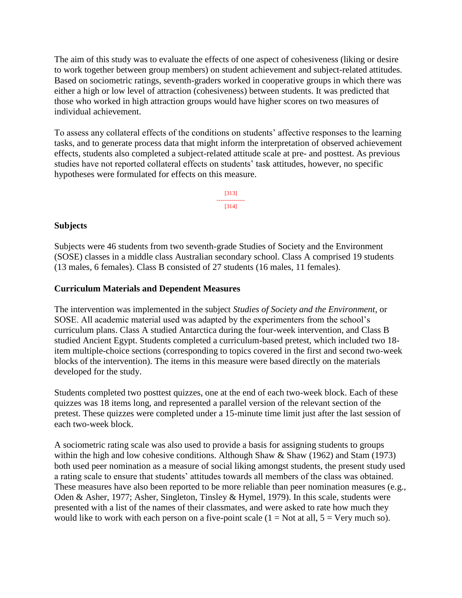The aim of this study was to evaluate the effects of one aspect of cohesiveness (liking or desire to work together between group members) on student achievement and subject-related attitudes. Based on sociometric ratings, seventh-graders worked in cooperative groups in which there was either a high or low level of attraction (cohesiveness) between students. It was predicted that those who worked in high attraction groups would have higher scores on two measures of individual achievement.

To assess any collateral effects of the conditions on students' affective responses to the learning tasks, and to generate process data that might inform the interpretation of observed achievement effects, students also completed a subject-related attitude scale at pre- and posttest. As previous studies have not reported collateral effects on students' task attitudes, however, no specific hypotheses were formulated for effects on this measure.



## **Subjects**

Subjects were 46 students from two seventh-grade Studies of Society and the Environment (SOSE) classes in a middle class Australian secondary school. Class A comprised 19 students (13 males, 6 females). Class B consisted of 27 students (16 males, 11 females).

## **Curriculum Materials and Dependent Measures**

The intervention was implemented in the subject *Studies of Society and the Environment*, or SOSE. All academic material used was adapted by the experimenters from the school's curriculum plans. Class A studied Antarctica during the four-week intervention, and Class B studied Ancient Egypt. Students completed a curriculum-based pretest, which included two 18 item multiple-choice sections (corresponding to topics covered in the first and second two-week blocks of the intervention). The items in this measure were based directly on the materials developed for the study.

Students completed two posttest quizzes, one at the end of each two-week block. Each of these quizzes was 18 items long, and represented a parallel version of the relevant section of the pretest. These quizzes were completed under a 15-minute time limit just after the last session of each two-week block.

A sociometric rating scale was also used to provide a basis for assigning students to groups within the high and low cohesive conditions. Although Shaw & Shaw (1962) and Stam (1973) both used peer nomination as a measure of social liking amongst students, the present study used a rating scale to ensure that students' attitudes towards all members of the class was obtained. These measures have also been reported to be more reliable than peer nomination measures (e.g., Oden & Asher, 1977; Asher, Singleton, Tinsley & Hymel, 1979). In this scale, students were presented with a list of the names of their classmates, and were asked to rate how much they would like to work with each person on a five-point scale  $(1 = Not at all, 5 = Very much so)$ .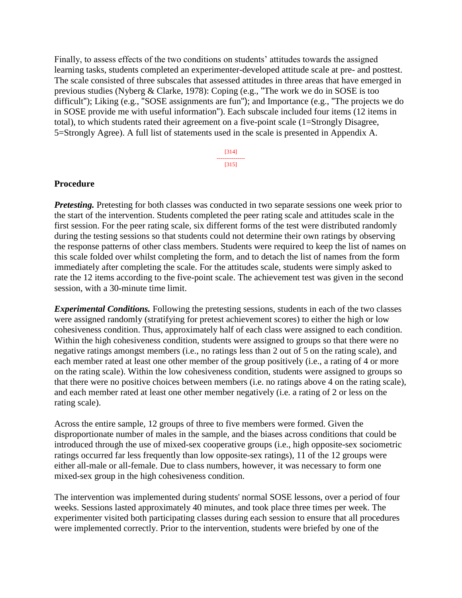Finally, to assess effects of the two conditions on students' attitudes towards the assigned learning tasks, students completed an experimenter-developed attitude scale at pre- and posttest. The scale consisted of three subscales that assessed attitudes in three areas that have emerged in previous studies (Nyberg & Clarke, 1978): Coping (e.g., "The work we do in SOSE is too difficult"); Liking (e.g., "SOSE assignments are fun"); and Importance (e.g., "The projects we do in SOSE provide me with useful information"). Each subscale included four items (12 items in total), to which students rated their agreement on a five-point scale (1=Strongly Disagree, 5=Strongly Agree). A full list of statements used in the scale is presented in Appendix A.

> [314] --------------- [315]

#### **Procedure**

*Pretesting.* Pretesting for both classes was conducted in two separate sessions one week prior to the start of the intervention. Students completed the peer rating scale and attitudes scale in the first session. For the peer rating scale, six different forms of the test were distributed randomly during the testing sessions so that students could not determine their own ratings by observing the response patterns of other class members. Students were required to keep the list of names on this scale folded over whilst completing the form, and to detach the list of names from the form immediately after completing the scale. For the attitudes scale, students were simply asked to rate the 12 items according to the five-point scale. The achievement test was given in the second session, with a 30-minute time limit.

*Experimental Conditions.* Following the pretesting sessions, students in each of the two classes were assigned randomly (stratifying for pretest achievement scores) to either the high or low cohesiveness condition. Thus, approximately half of each class were assigned to each condition. Within the high cohesiveness condition, students were assigned to groups so that there were no negative ratings amongst members (i.e., no ratings less than 2 out of 5 on the rating scale), and each member rated at least one other member of the group positively (i.e., a rating of 4 or more on the rating scale). Within the low cohesiveness condition, students were assigned to groups so that there were no positive choices between members (i.e. no ratings above 4 on the rating scale), and each member rated at least one other member negatively (i.e. a rating of 2 or less on the rating scale).

Across the entire sample, 12 groups of three to five members were formed. Given the disproportionate number of males in the sample, and the biases across conditions that could be introduced through the use of mixed-sex cooperative groups (i.e., high opposite-sex sociometric ratings occurred far less frequently than low opposite-sex ratings), 11 of the 12 groups were either all-male or all-female. Due to class numbers, however, it was necessary to form one mixed-sex group in the high cohesiveness condition.

The intervention was implemented during students' normal SOSE lessons, over a period of four weeks. Sessions lasted approximately 40 minutes, and took place three times per week. The experimenter visited both participating classes during each session to ensure that all procedures were implemented correctly. Prior to the intervention, students were briefed by one of the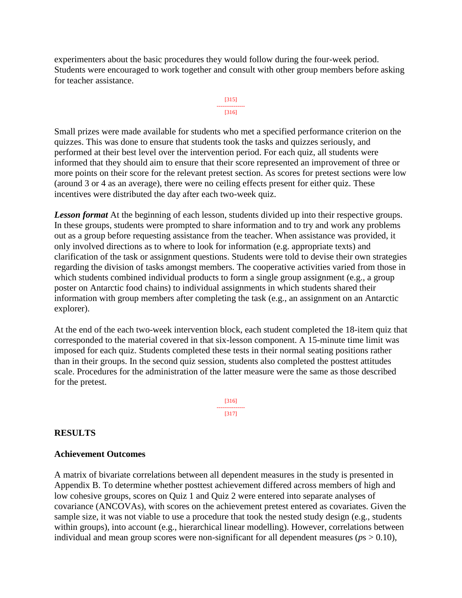experimenters about the basic procedures they would follow during the four-week period. Students were encouraged to work together and consult with other group members before asking for teacher assistance.



Small prizes were made available for students who met a specified performance criterion on the quizzes. This was done to ensure that students took the tasks and quizzes seriously, and performed at their best level over the intervention period. For each quiz, all students were informed that they should aim to ensure that their score represented an improvement of three or more points on their score for the relevant pretest section. As scores for pretest sections were low (around 3 or 4 as an average), there were no ceiling effects present for either quiz. These incentives were distributed the day after each two-week quiz.

**Lesson format** At the beginning of each lesson, students divided up into their respective groups. In these groups, students were prompted to share information and to try and work any problems out as a group before requesting assistance from the teacher. When assistance was provided, it only involved directions as to where to look for information (e.g. appropriate texts) and clarification of the task or assignment questions. Students were told to devise their own strategies regarding the division of tasks amongst members. The cooperative activities varied from those in which students combined individual products to form a single group assignment (e.g., a group poster on Antarctic food chains) to individual assignments in which students shared their information with group members after completing the task (e.g., an assignment on an Antarctic explorer).

At the end of the each two-week intervention block, each student completed the 18-item quiz that corresponded to the material covered in that six-lesson component. A 15-minute time limit was imposed for each quiz. Students completed these tests in their normal seating positions rather than in their groups. In the second quiz session, students also completed the posttest attitudes scale. Procedures for the administration of the latter measure were the same as those described for the pretest.

> [316] --------------- [317]

# **RESULTS**

#### **Achievement Outcomes**

A matrix of bivariate correlations between all dependent measures in the study is presented in Appendix B. To determine whether posttest achievement differed across members of high and low cohesive groups, scores on Quiz 1 and Quiz 2 were entered into separate analyses of covariance (ANCOVAs), with scores on the achievement pretest entered as covariates. Given the sample size, it was not viable to use a procedure that took the nested study design (e.g., students within groups), into account (e.g., hierarchical linear modelling). However, correlations between individual and mean group scores were non-significant for all dependent measures ( $p_s > 0.10$ ),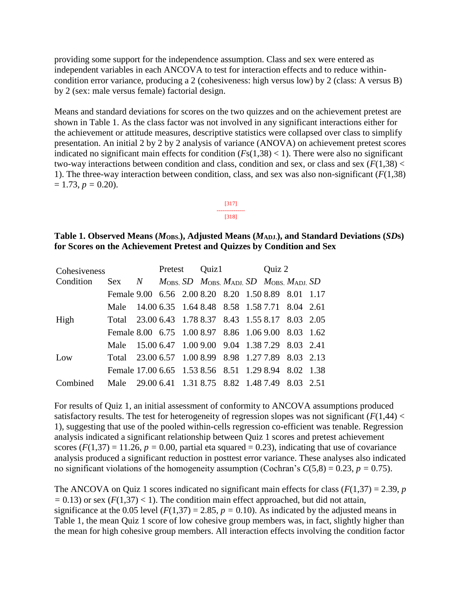providing some support for the independence assumption. Class and sex were entered as independent variables in each ANCOVA to test for interaction effects and to reduce withincondition error variance, producing a 2 (cohesiveness: high versus low) by 2 (class: A versus B) by 2 (sex: male versus female) factorial design.

Means and standard deviations for scores on the two quizzes and on the achievement pretest are shown in Table 1. As the class factor was not involved in any significant interactions either for the achievement or attitude measures, descriptive statistics were collapsed over class to simplify presentation. An initial 2 by 2 by 2 analysis of variance (ANOVA) on achievement pretest scores indicated no significant main effects for condition  $(Fs(1,38) < 1)$ . There were also no significant two-way interactions between condition and class, condition and sex, or class and sex  $(F(1,38)$  < 1). The three-way interaction between condition, class, and sex was also non-significant (*F*(1,38)  $= 1.73, p = 0.20$ .

> [317] --------------- [318]

#### **Table 1. Observed Means (***M***OBS.), Adjusted Means (***M***ADJ.), and Standard Deviations (***SD***s) for Scores on the Achievement Pretest and Quizzes by Condition and Sex**

| Cohesiveness |                                                                              | Pretest |  | Quiz1 |  |  | Quiz 2 |  |  |
|--------------|------------------------------------------------------------------------------|---------|--|-------|--|--|--------|--|--|
| Condition    | $Sex$ N $M_{OBS}$ , SD $M_{OBS}$ , $M_{ADJ}$ , SD $M_{OBS}$ , $M_{ADJ}$ , SD |         |  |       |  |  |        |  |  |
|              | Female 9.00 6.56 2.00 8.20 8.20 1.50 8.89 8.01 1.17                          |         |  |       |  |  |        |  |  |
|              | Male 14.00 6.35 1.64 8.48 8.58 1.58 7.71 8.04 2.61                           |         |  |       |  |  |        |  |  |
| High         | Total 23.00 6.43 1.78 8.37 8.43 1.55 8.17 8.03 2.05                          |         |  |       |  |  |        |  |  |
|              | Female 8.00 6.75 1.00 8.97 8.86 1.06 9.00 8.03 1.62                          |         |  |       |  |  |        |  |  |
|              | Male 15.00 6.47 1.00 9.00 9.04 1.38 7.29 8.03 2.41                           |         |  |       |  |  |        |  |  |
| Low          | Total 23.00 6.57 1.00 8.99 8.98 1.27 7.89 8.03 2.13                          |         |  |       |  |  |        |  |  |
|              | Female 17.00 6.65 1.53 8.56 8.51 1.29 8.94 8.02 1.38                         |         |  |       |  |  |        |  |  |
| Combined     | Male 29.00 6.41 1.31 8.75 8.82 1.48 7.49 8.03 2.51                           |         |  |       |  |  |        |  |  |

For results of Quiz 1, an initial assessment of conformity to ANCOVA assumptions produced satisfactory results. The test for heterogeneity of regression slopes was not significant  $(F(1,44)$  < 1), suggesting that use of the pooled within-cells regression co-efficient was tenable. Regression analysis indicated a significant relationship between Quiz 1 scores and pretest achievement scores  $(F(1,37) = 11.26, p = 0.00,$  partial eta squared = 0.23), indicating that use of covariance analysis produced a significant reduction in posttest error variance. These analyses also indicated no significant violations of the homogeneity assumption (Cochran's  $C(5,8) = 0.23$ ,  $p = 0.75$ ).

The ANCOVA on Quiz 1 scores indicated no significant main effects for class  $(F(1,37) = 2.39, p$  $= 0.13$ ) or sex ( $F(1,37) < 1$ ). The condition main effect approached, but did not attain, significance at the 0.05 level ( $F(1,37) = 2.85$ ,  $p = 0.10$ ). As indicated by the adjusted means in Table 1, the mean Quiz 1 score of low cohesive group members was, in fact, slightly higher than the mean for high cohesive group members. All interaction effects involving the condition factor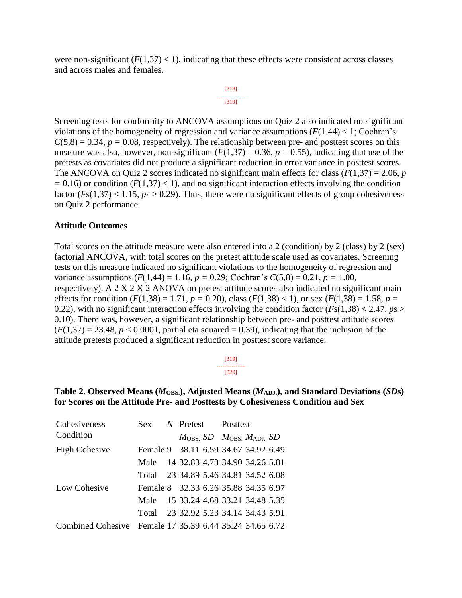were non-significant  $(F(1,37) < 1)$ , indicating that these effects were consistent across classes and across males and females.

> [318] --------------- [319]

\n Screening tests for conformity to ANCOVA assumptions on Quiz 2 also indicated no significant violations of the homogeneity of regression and variance assumptions (
$$
F(1,44) < 1
$$
; Cochran's  $C(5,8) = 0.34$ ,  $p = 0.08$ , respectively). The relationship between pre- and posttest scores on this measure was also, however, non-significant ( $F(1,37) = 0.36$ ,  $p = 0.55$ ), indicating that use of the pretests as covariates did not produce a significant reduction in error variance in posttest scores. The ANCOVA on Quiz 2 scores indicated no significant main effects for class ( $F(1,37) = 2.06$ ,  $p = 0.16$ ) or condition ( $F(1,37) < 1$ ), and no significant interaction effects involving the condition factor ( $Fs(1,37) < 1.15$ ,  $ps > 0.29$ ). Thus, there were no significant effects of group cohesiveness on Quiz 2 performance.\n

#### **Attitude Outcomes**

Total scores on the attitude measure were also entered into a 2 (condition) by 2 (class) by 2 (sex) factorial ANCOVA, with total scores on the pretest attitude scale used as covariates. Screening tests on this measure indicated no significant violations to the homogeneity of regression and variance assumptions  $(F(1,44) = 1.16, p = 0.29; \text{Cochran's } C(5,8) = 0.21, p = 1.00,$ respectively). A 2 X 2 X 2 ANOVA on pretest attitude scores also indicated no significant main effects for condition  $(F(1,38) = 1.71, p = 0.20)$ , class  $(F(1,38) < 1)$ , or sex  $(F(1,38) = 1.58, p =$ 0.22), with no significant interaction effects involving the condition factor  $(Fs(1,38) < 2.47, ps >$ 0.10). There was, however, a significant relationship between pre- and posttest attitude scores  $(F(1,37) = 23.48, p < 0.0001$ , partial eta squared = 0.39), indicating that the inclusion of the attitude pretests produced a significant reduction in posttest score variance.

| 13191 |  |
|-------|--|
| 13201 |  |

#### Table 2. Observed Means ( $M$ <sub>OBS</sub>), Adjusted Means ( $M$ <sub>ADJ</sub>), and Standard Deviations (*SD*s) **for Scores on the Attitude Pre- and Posttests by Cohesiveness Condition and Sex**

| Cohesiveness                                            |                                      | Sex N Pretest Posttest |  |                                                       |  |  |
|---------------------------------------------------------|--------------------------------------|------------------------|--|-------------------------------------------------------|--|--|
| Condition                                               |                                      |                        |  | $M_{\rm OBS}$ , SD $M_{\rm OBS}$ , $M_{\rm ADI}$ , SD |  |  |
| <b>High Cohesive</b>                                    | Female 9 38.11 6.59 34.67 34.92 6.49 |                        |  |                                                       |  |  |
|                                                         | Male 14 32.83 4.73 34.90 34.26 5.81  |                        |  |                                                       |  |  |
|                                                         | Total 23 34.89 5.46 34.81 34.52 6.08 |                        |  |                                                       |  |  |
| Low Cohesive                                            | Female 8 32.33 6.26 35.88 34.35 6.97 |                        |  |                                                       |  |  |
|                                                         | Male 15 33.24 4.68 33.21 34.48 5.35  |                        |  |                                                       |  |  |
|                                                         | Total 23 32.92 5.23 34.14 34.43 5.91 |                        |  |                                                       |  |  |
| Combined Cohesive Female 17 35.39 6.44 35.24 34.65 6.72 |                                      |                        |  |                                                       |  |  |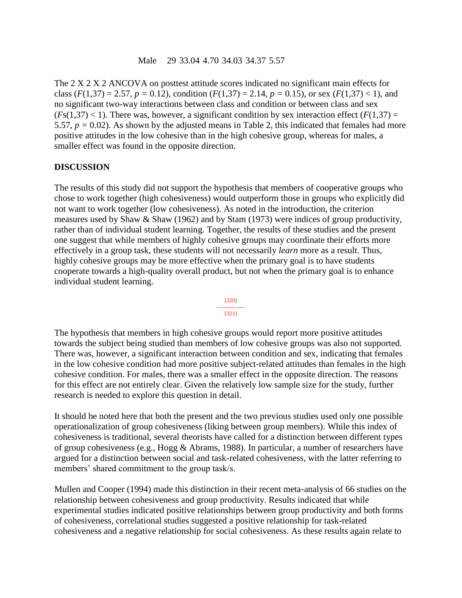The 2 X 2 X 2 ANCOVA on posttest attitude scores indicated no significant main effects for class ( $F(1,37) = 2.57$ ,  $p = 0.12$ ), condition ( $F(1,37) = 2.14$ ,  $p = 0.15$ ), or sex ( $F(1,37) < 1$ ), and no significant two-way interactions between class and condition or between class and sex  $(Fs(1,37) < 1)$ . There was, however, a significant condition by sex interaction effect  $(F(1,37) =$ 5.57,  $p = 0.02$ ). As shown by the adjusted means in Table 2, this indicated that females had more positive attitudes in the low cohesive than in the high cohesive group, whereas for males, a smaller effect was found in the opposite direction.

#### **DISCUSSION**

The results of this study did not support the hypothesis that members of cooperative groups who chose to work together (high cohesiveness) would outperform those in groups who explicitly did not want to work together (low cohesiveness). As noted in the introduction, the criterion measures used by Shaw & Shaw (1962) and by Stam (1973) were indices of group productivity, rather than of individual student learning. Together, the results of these studies and the present one suggest that while members of highly cohesive groups may coordinate their efforts more effectively in a group task, these students will not necessarily *learn* more as a result. Thus, highly cohesive groups may be more effective when the primary goal is to have students cooperate towards a high-quality overall product, but not when the primary goal is to enhance individual student learning.



The hypothesis that members in high cohesive groups would report more positive attitudes towards the subject being studied than members of low cohesive groups was also not supported. There was, however, a significant interaction between condition and sex, indicating that females in the low cohesive condition had more positive subject-related attitudes than females in the high cohesive condition. For males, there was a smaller effect in the opposite direction. The reasons for this effect are not entirely clear. Given the relatively low sample size for the study, further research is needed to explore this question in detail.

It should be noted here that both the present and the two previous studies used only one possible operationalization of group cohesiveness (liking between group members). While this index of cohesiveness is traditional, several theorists have called for a distinction between different types of group cohesiveness (e.g., Hogg & Abrams, 1988). In particular, a number of researchers have argued for a distinction between social and task-related cohesiveness, with the latter referring to members' shared commitment to the group task/s.

Mullen and Cooper (1994) made this distinction in their recent meta-analysis of 66 studies on the relationship between cohesiveness and group productivity. Results indicated that while experimental studies indicated positive relationships between group productivity and both forms of cohesiveness, correlational studies suggested a positive relationship for task-related cohesiveness and a negative relationship for social cohesiveness. As these results again relate to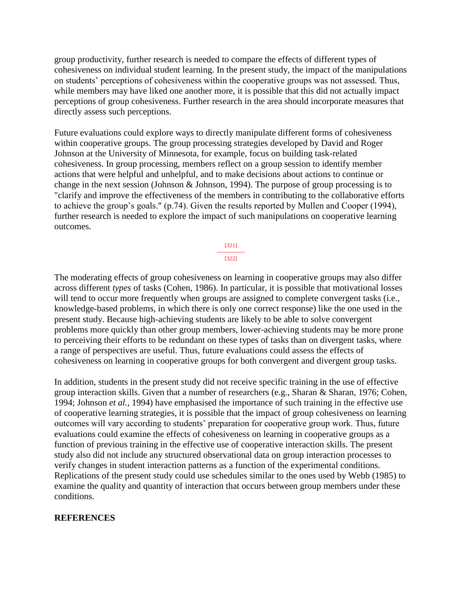group productivity, further research is needed to compare the effects of different types of cohesiveness on individual student learning. In the present study, the impact of the manipulations on students' perceptions of cohesiveness within the cooperative groups was not assessed. Thus, while members may have liked one another more, it is possible that this did not actually impact perceptions of group cohesiveness. Further research in the area should incorporate measures that directly assess such perceptions.

Future evaluations could explore ways to directly manipulate different forms of cohesiveness within cooperative groups. The group processing strategies developed by David and Roger Johnson at the University of Minnesota, for example, focus on building task-related cohesiveness. In group processing, members reflect on a group session to identify member actions that were helpful and unhelpful, and to make decisions about actions to continue or change in the next session (Johnson & Johnson, 1994). The purpose of group processing is to "clarify and improve the effectiveness of the members in contributing to the collaborative efforts to achieve the group's goals." (p.74). Given the results reported by Mullen and Cooper (1994), further research is needed to explore the impact of such manipulations on cooperative learning outcomes.

> [321] --------------- [322]

The moderating effects of group cohesiveness on learning in cooperative groups may also differ across different *types* of tasks (Cohen, 1986). In particular, it is possible that motivational losses will tend to occur more frequently when groups are assigned to complete convergent tasks (i.e., knowledge-based problems, in which there is only one correct response) like the one used in the present study. Because high-achieving students are likely to be able to solve convergent problems more quickly than other group members, lower-achieving students may be more prone to perceiving their efforts to be redundant on these types of tasks than on divergent tasks, where a range of perspectives are useful. Thus, future evaluations could assess the effects of cohesiveness on learning in cooperative groups for both convergent and divergent group tasks.

In addition, students in the present study did not receive specific training in the use of effective group interaction skills. Given that a number of researchers (e.g., Sharan & Sharan, 1976; Cohen, 1994; Johnson *et al.*, 1994) have emphasised the importance of such training in the effective use of cooperative learning strategies, it is possible that the impact of group cohesiveness on learning outcomes will vary according to students' preparation for cooperative group work. Thus, future evaluations could examine the effects of cohesiveness on learning in cooperative groups as a function of previous training in the effective use of cooperative interaction skills. The present study also did not include any structured observational data on group interaction processes to verify changes in student interaction patterns as a function of the experimental conditions. Replications of the present study could use schedules similar to the ones used by Webb (1985) to examine the quality and quantity of interaction that occurs between group members under these conditions.

#### **REFERENCES**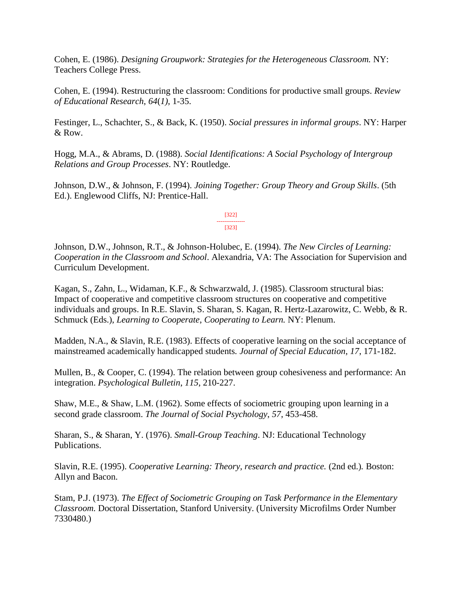Cohen, E. (1986). *Designing Groupwork: Strategies for the Heterogeneous Classroom.* NY: Teachers College Press.

Cohen, E. (1994). Restructuring the classroom: Conditions for productive small groups. *Review of Educational Research*, *64*(*1)*, 1-35.

Festinger, L., Schachter, S., & Back, K. (1950). *Social pressures in informal groups*. NY: Harper & Row.

Hogg, M.A., & Abrams, D. (1988). *Social Identifications: A Social Psychology of Intergroup Relations and Group Processes*. NY: Routledge.

Johnson, D.W., & Johnson, F. (1994). *Joining Together: Group Theory and Group Skills*. (5th Ed.). Englewood Cliffs, NJ: Prentice-Hall.

> [322] --------------- [323]

Johnson, D.W., Johnson, R.T., & Johnson-Holubec, E. (1994). *The New Circles of Learning: Cooperation in the Classroom and School*. Alexandria, VA: The Association for Supervision and Curriculum Development.

Kagan, S., Zahn, L., Widaman, K.F., & Schwarzwald, J. (1985). Classroom structural bias: Impact of cooperative and competitive classroom structures on cooperative and competitive individuals and groups. In R.E. Slavin, S. Sharan, S. Kagan, R. Hertz-Lazarowitz, C. Webb, & R. Schmuck (Eds.), *Learning to Cooperate*, *Cooperating to Learn.* NY: Plenum.

Madden, N.A., & Slavin, R.E. (1983). Effects of cooperative learning on the social acceptance of mainstreamed academically handicapped students*. Journal of Special Education*, *17*, 171-182.

Mullen, B., & Cooper, C. (1994). The relation between group cohesiveness and performance: An integration. *Psychological Bulletin*, *115*, 210-227.

Shaw, M.E., & Shaw, L.M. (1962). Some effects of sociometric grouping upon learning in a second grade classroom. *The Journal of Social Psychology*, *57*, 453-458.

Sharan, S., & Sharan, Y. (1976). *Small-Group Teaching*. NJ: Educational Technology Publications.

Slavin, R.E. (1995). *Cooperative Learning: Theory, research and practice.* (2nd ed.)*.* Boston: Allyn and Bacon.

Stam, P.J. (1973). *The Effect of Sociometric Grouping on Task Performance in the Elementary Classroom.* Doctoral Dissertation, Stanford University. (University Microfilms Order Number 7330480.)